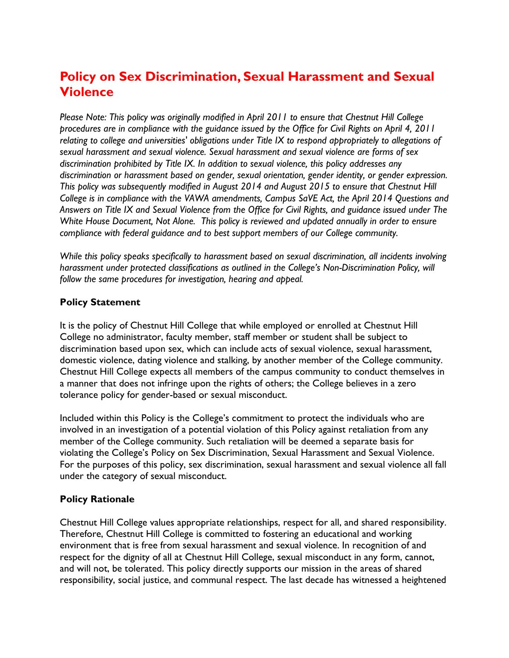# **Policy on Sex Discrimination, Sexual Harassment and Sexual Violence**

*Please Note: This policy was originally modified in April 2011 to ensure that Chestnut Hill College procedures are in compliance with the guidance issued by the Office for Civil Rights on April 4, 2011 relating to college and universities' obligations under Title IX to respond appropriately to allegations of sexual harassment and sexual violence. Sexual harassment and sexual violence are forms of sex discrimination prohibited by Title IX. In addition to sexual violence, this policy addresses any discrimination or harassment based on gender, sexual orientation, gender identity, or gender expression. This policy was subsequently modified in August 2014 and August 2015 to ensure that Chestnut Hill College is in compliance with the VAWA amendments, Campus SaVE Act, the April 2014 Questions and Answers on Title IX and Sexual Violence from the Office for Civil Rights, and guidance issued under The White House Document, Not Alone. This policy is reviewed and updated annually in order to ensure compliance with federal guidance and to best support members of our College community.*

*While this policy speaks specifically to harassment based on sexual discrimination, all incidents involving harassment under protected classifications as outlined in the College's Non-Discrimination Policy, will follow the same procedures for investigation, hearing and appeal.*

# **Policy Statement**

It is the policy of Chestnut Hill College that while employed or enrolled at Chestnut Hill College no administrator, faculty member, staff member or student shall be subject to discrimination based upon sex, which can include acts of sexual violence, sexual harassment, domestic violence, dating violence and stalking, by another member of the College community. Chestnut Hill College expects all members of the campus community to conduct themselves in a manner that does not infringe upon the rights of others; the College believes in a zero tolerance policy for gender-based or sexual misconduct.

Included within this Policy is the College's commitment to protect the individuals who are involved in an investigation of a potential violation of this Policy against retaliation from any member of the College community. Such retaliation will be deemed a separate basis for violating the College's Policy on Sex Discrimination, Sexual Harassment and Sexual Violence. For the purposes of this policy, sex discrimination, sexual harassment and sexual violence all fall under the category of sexual misconduct.

## **Policy Rationale**

Chestnut Hill College values appropriate relationships, respect for all, and shared responsibility. Therefore, Chestnut Hill College is committed to fostering an educational and working environment that is free from sexual harassment and sexual violence. In recognition of and respect for the dignity of all at Chestnut Hill College, sexual misconduct in any form, cannot, and will not, be tolerated. This policy directly supports our mission in the areas of shared responsibility, social justice, and communal respect. The last decade has witnessed a heightened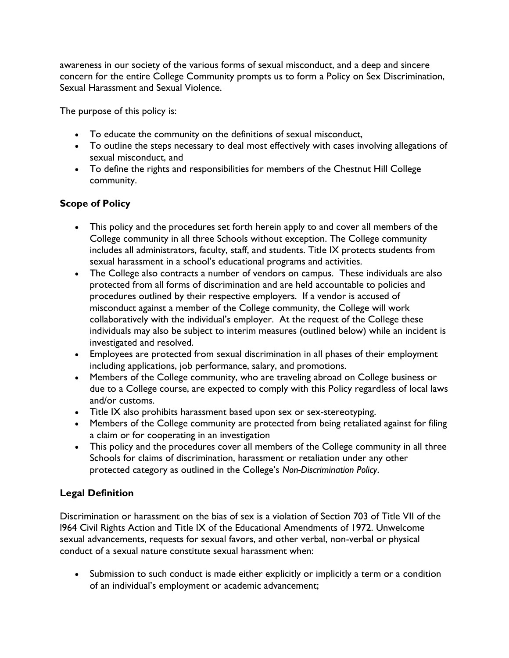awareness in our society of the various forms of sexual misconduct, and a deep and sincere concern for the entire College Community prompts us to form a Policy on Sex Discrimination, Sexual Harassment and Sexual Violence.

The purpose of this policy is:

- To educate the community on the definitions of sexual misconduct,
- To outline the steps necessary to deal most effectively with cases involving allegations of sexual misconduct, and
- To define the rights and responsibilities for members of the Chestnut Hill College community.

# **Scope of Policy**

- This policy and the procedures set forth herein apply to and cover all members of the College community in all three Schools without exception. The College community includes all administrators, faculty, staff, and students. Title IX protects students from sexual harassment in a school's educational programs and activities.
- The College also contracts a number of vendors on campus. These individuals are also protected from all forms of discrimination and are held accountable to policies and procedures outlined by their respective employers. If a vendor is accused of misconduct against a member of the College community, the College will work collaboratively with the individual's employer. At the request of the College these individuals may also be subject to interim measures (outlined below) while an incident is investigated and resolved.
- Employees are protected from sexual discrimination in all phases of their employment including applications, job performance, salary, and promotions.
- Members of the College community, who are traveling abroad on College business or due to a College course, are expected to comply with this Policy regardless of local laws and/or customs.
- Title IX also prohibits harassment based upon sex or sex-stereotyping.
- Members of the College community are protected from being retaliated against for filing a claim or for cooperating in an investigation
- This policy and the procedures cover all members of the College community in all three Schools for claims of discrimination, harassment or retaliation under any other protected category as outlined in the College's *Non-Discrimination Policy*.

# **Legal Definition**

Discrimination or harassment on the bias of sex is a violation of Section 703 of Title VII of the l964 Civil Rights Action and Title IX of the Educational Amendments of 1972. Unwelcome sexual advancements, requests for sexual favors, and other verbal, non-verbal or physical conduct of a sexual nature constitute sexual harassment when:

 Submission to such conduct is made either explicitly or implicitly a term or a condition of an individual's employment or academic advancement;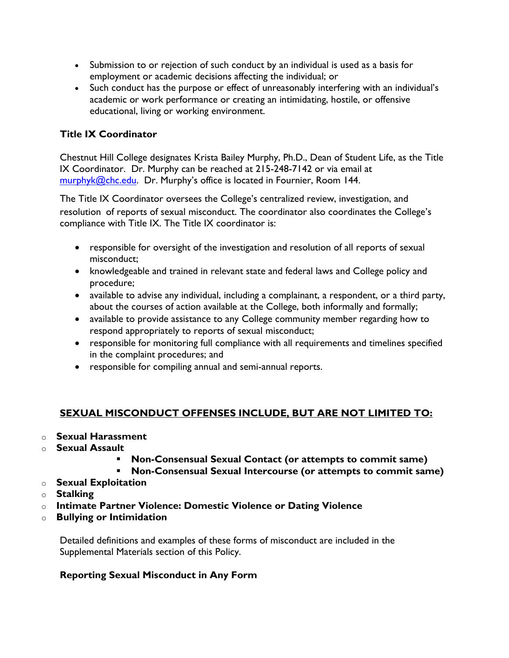- Submission to or rejection of such conduct by an individual is used as a basis for employment or academic decisions affecting the individual; or
- Such conduct has the purpose or effect of unreasonably interfering with an individual's academic or work performance or creating an intimidating, hostile, or offensive educational, living or working environment.

# **Title IX Coordinator**

Chestnut Hill College designates Krista Bailey Murphy, Ph.D., Dean of Student Life, as the Title IX Coordinator. Dr. Murphy can be reached at 215-248-7142 or via email at [murphyk@chc.edu](mailto:murphyk@chc.edu). Dr. Murphy's office is located in Fournier, Room 144.

The Title IX Coordinator oversees the College's centralized review, investigation, and resolution of reports of sexual misconduct. The coordinator also coordinates the College's compliance with Title IX. The Title IX coordinator is:

- responsible for oversight of the investigation and resolution of all reports of sexual misconduct;
- knowledgeable and trained in relevant state and federal laws and College policy and procedure;
- available to advise any individual, including a complainant, a respondent, or a third party, about the courses of action available at the College, both informally and formally;
- available to provide assistance to any College community member regarding how to respond appropriately to reports of sexual misconduct;
- responsible for monitoring full compliance with all requirements and timelines specified in the complaint procedures; and
- responsible for compiling annual and semi-annual reports.

# **SEXUAL MISCONDUCT OFFENSES INCLUDE, BUT ARE NOT LIMITED TO:**

- o **Sexual Harassment**
- o **Sexual Assault**
	- **Non-Consensual Sexual Contact (or attempts to commit same)**
	- **Non-Consensual Sexual Intercourse (or attempts to commit same)**
- o **Sexual Exploitation**
- o **Stalking**
- o **Intimate Partner Violence: Domestic Violence or Dating Violence**
- o **Bullying or Intimidation**

Detailed definitions and examples of these forms of misconduct are included in the Supplemental Materials section of this Policy.

# **Reporting Sexual Misconduct in Any Form**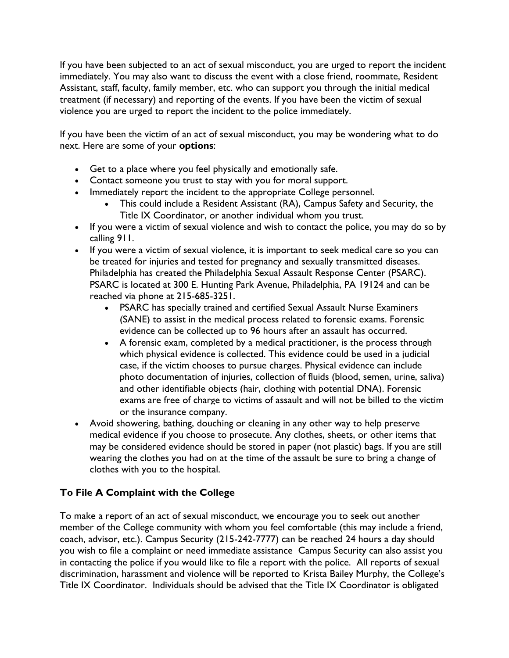If you have been subjected to an act of sexual misconduct, you are urged to report the incident immediately. You may also want to discuss the event with a close friend, roommate, Resident Assistant, staff, faculty, family member, etc. who can support you through the initial medical treatment (if necessary) and reporting of the events. If you have been the victim of sexual violence you are urged to report the incident to the police immediately.

If you have been the victim of an act of sexual misconduct, you may be wondering what to do next. Here are some of your **options**:

- Get to a place where you feel physically and emotionally safe.
- Contact someone you trust to stay with you for moral support.
- Immediately report the incident to the appropriate College personnel.
	- This could include a Resident Assistant (RA), Campus Safety and Security, the Title IX Coordinator, or another individual whom you trust.
- If you were a victim of sexual violence and wish to contact the police, you may do so by calling 911.
- If you were a victim of sexual violence, it is important to seek medical care so you can be treated for injuries and tested for pregnancy and sexually transmitted diseases. Philadelphia has created the Philadelphia Sexual Assault Response Center (PSARC). PSARC is located at 300 E. Hunting Park Avenue, Philadelphia, PA 19124 and can be reached via phone at 215-685-3251.
	- PSARC has specially trained and certified Sexual Assault Nurse Examiners (SANE) to assist in the medical process related to forensic exams. Forensic evidence can be collected up to 96 hours after an assault has occurred.
	- A forensic exam, completed by a medical practitioner, is the process through which physical evidence is collected. This evidence could be used in a judicial case, if the victim chooses to pursue charges. Physical evidence can include photo documentation of injuries, collection of fluids (blood, semen, urine, saliva) and other identifiable objects (hair, clothing with potential DNA). Forensic exams are free of charge to victims of assault and will not be billed to the victim or the insurance company.
- Avoid showering, bathing, douching or cleaning in any other way to help preserve medical evidence if you choose to prosecute. Any clothes, sheets, or other items that may be considered evidence should be stored in paper (not plastic) bags. If you are still wearing the clothes you had on at the time of the assault be sure to bring a change of clothes with you to the hospital.

# **To File A Complaint with the College**

To make a report of an act of sexual misconduct, we encourage you to seek out another member of the College community with whom you feel comfortable (this may include a friend, coach, advisor, etc.). Campus Security (215-242-7777) can be reached 24 hours a day should you wish to file a complaint or need immediate assistance Campus Security can also assist you in contacting the police if you would like to file a report with the police. All reports of sexual discrimination, harassment and violence will be reported to Krista Bailey Murphy, the College's Title IX Coordinator. Individuals should be advised that the Title IX Coordinator is obligated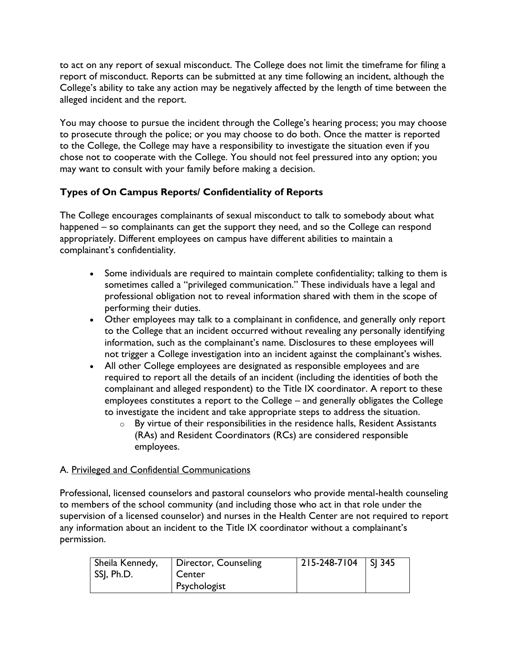to act on any report of sexual misconduct. The College does not limit the timeframe for filing a report of misconduct. Reports can be submitted at any time following an incident, although the College's ability to take any action may be negatively affected by the length of time between the alleged incident and the report.

You may choose to pursue the incident through the College's hearing process; you may choose to prosecute through the police; or you may choose to do both. Once the matter is reported to the College, the College may have a responsibility to investigate the situation even if you chose not to cooperate with the College. You should not feel pressured into any option; you may want to consult with your family before making a decision.

# **Types of On Campus Reports/ Confidentiality of Reports**

The College encourages complainants of sexual misconduct to talk to somebody about what happened – so complainants can get the support they need, and so the College can respond appropriately. Different employees on campus have different abilities to maintain a complainant's confidentiality.

- Some individuals are required to maintain complete confidentiality; talking to them is sometimes called a "privileged communication." These individuals have a legal and professional obligation not to reveal information shared with them in the scope of performing their duties.
- Other employees may talk to a complainant in confidence, and generally only report to the College that an incident occurred without revealing any personally identifying information, such as the complainant's name. Disclosures to these employees will not trigger a College investigation into an incident against the complainant's wishes.
- All other College employees are designated as responsible employees and are required to report all the details of an incident (including the identities of both the complainant and alleged respondent) to the Title IX coordinator. A report to these employees constitutes a report to the College – and generally obligates the College to investigate the incident and take appropriate steps to address the situation.
	- o By virtue of their responsibilities in the residence halls, Resident Assistants (RAs) and Resident Coordinators (RCs) are considered responsible employees.

# A. Privileged and Confidential Communications

Professional, licensed counselors and pastoral counselors who provide mental-health counseling to members of the school community (and including those who act in that role under the supervision of a licensed counselor) and nurses in the Health Center are not required to report any information about an incident to the Title IX coordinator without a complainant's permission.

| Sheila Kennedy, | Director, Counseling | $215 - 248 - 7104$ SI 345 |  |
|-----------------|----------------------|---------------------------|--|
| SSJ, Ph.D.      | Center               |                           |  |
|                 | Psychologist         |                           |  |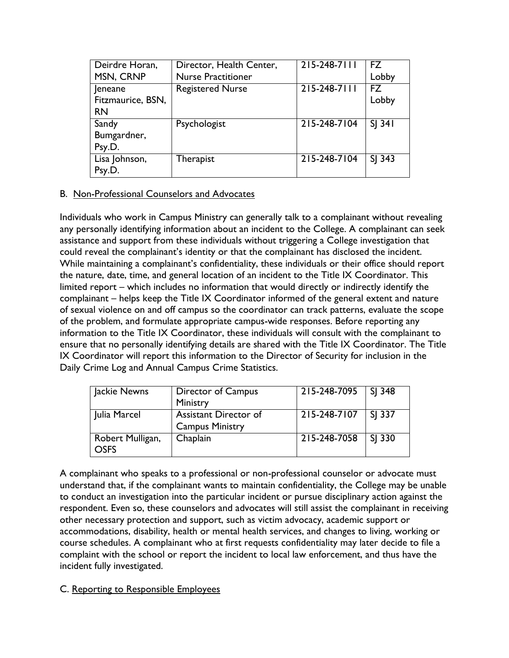| Deirdre Horan,    | Director, Health Center,  | 215-248-7111                  | <b>FZ</b> |
|-------------------|---------------------------|-------------------------------|-----------|
| MSN, CRNP         | <b>Nurse Practitioner</b> |                               | Lobby     |
| Jeneane           | <b>Registered Nurse</b>   | $\overline{215} - 248 - 7111$ | <b>FZ</b> |
| Fitzmaurice, BSN, |                           |                               | Lobby     |
| <b>RN</b>         |                           |                               |           |
| Sandy             | Psychologist              | 215-248-7104                  | $SI$ 341  |
| Bumgardner,       |                           |                               |           |
| Psy.D.            |                           |                               |           |
| Lisa Johnson,     | Therapist                 | 215-248-7104                  | $SI$ 343  |
| Psy.D.            |                           |                               |           |

## B. Non-Professional Counselors and Advocates

Individuals who work in Campus Ministry can generally talk to a complainant without revealing any personally identifying information about an incident to the College. A complainant can seek assistance and support from these individuals without triggering a College investigation that could reveal the complainant's identity or that the complainant has disclosed the incident. While maintaining a complainant's confidentiality, these individuals or their office should report the nature, date, time, and general location of an incident to the Title IX Coordinator. This limited report – which includes no information that would directly or indirectly identify the complainant – helps keep the Title IX Coordinator informed of the general extent and nature of sexual violence on and off campus so the coordinator can track patterns, evaluate the scope of the problem, and formulate appropriate campus-wide responses. Before reporting any information to the Title IX Coordinator, these individuals will consult with the complainant to ensure that no personally identifying details are shared with the Title IX Coordinator. The Title IX Coordinator will report this information to the Director of Security for inclusion in the Daily Crime Log and Annual Campus Crime Statistics.

| Jackie Newns                    | Director of Campus<br>Ministry                         | 215-248-7095 | $\vert$ SJ 348 |
|---------------------------------|--------------------------------------------------------|--------------|----------------|
| Julia Marcel                    | <b>Assistant Director of</b><br><b>Campus Ministry</b> | 215-248-7107 | SI 337         |
| Robert Mulligan,<br><b>OSFS</b> | Chaplain                                               | 215-248-7058 | SJ 330         |

A complainant who speaks to a professional or non-professional counselor or advocate must understand that, if the complainant wants to maintain confidentiality, the College may be unable to conduct an investigation into the particular incident or pursue disciplinary action against the respondent. Even so, these counselors and advocates will still assist the complainant in receiving other necessary protection and support, such as victim advocacy, academic support or accommodations, disability, health or mental health services, and changes to living, working or course schedules. A complainant who at first requests confidentiality may later decide to file a complaint with the school or report the incident to local law enforcement, and thus have the incident fully investigated.

## C. Reporting to Responsible Employees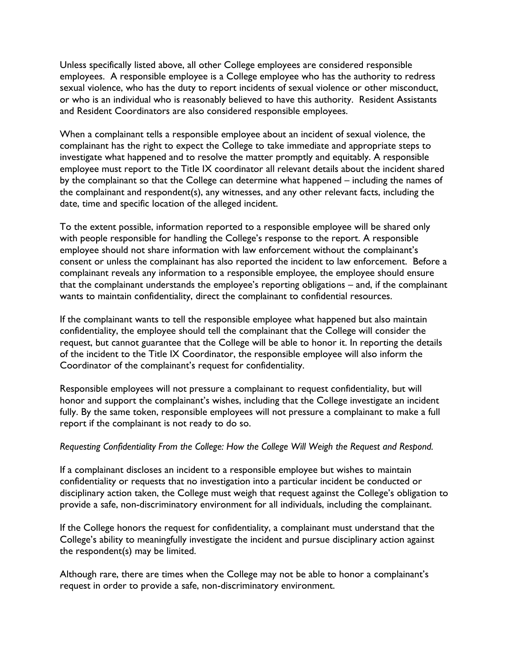Unless specifically listed above, all other College employees are considered responsible employees. A responsible employee is a College employee who has the authority to redress sexual violence, who has the duty to report incidents of sexual violence or other misconduct, or who is an individual who is reasonably believed to have this authority. Resident Assistants and Resident Coordinators are also considered responsible employees.

When a complainant tells a responsible employee about an incident of sexual violence, the complainant has the right to expect the College to take immediate and appropriate steps to investigate what happened and to resolve the matter promptly and equitably. A responsible employee must report to the Title IX coordinator all relevant details about the incident shared by the complainant so that the College can determine what happened – including the names of the complainant and respondent(s), any witnesses, and any other relevant facts, including the date, time and specific location of the alleged incident.

To the extent possible, information reported to a responsible employee will be shared only with people responsible for handling the College's response to the report. A responsible employee should not share information with law enforcement without the complainant's consent or unless the complainant has also reported the incident to law enforcement. Before a complainant reveals any information to a responsible employee, the employee should ensure that the complainant understands the employee's reporting obligations – and, if the complainant wants to maintain confidentiality, direct the complainant to confidential resources.

If the complainant wants to tell the responsible employee what happened but also maintain confidentiality, the employee should tell the complainant that the College will consider the request, but cannot guarantee that the College will be able to honor it. In reporting the details of the incident to the Title IX Coordinator, the responsible employee will also inform the Coordinator of the complainant's request for confidentiality.

Responsible employees will not pressure a complainant to request confidentiality, but will honor and support the complainant's wishes, including that the College investigate an incident fully. By the same token, responsible employees will not pressure a complainant to make a full report if the complainant is not ready to do so.

#### *Requesting Confidentiality From the College: How the College Will Weigh the Request and Respond.*

If a complainant discloses an incident to a responsible employee but wishes to maintain confidentiality or requests that no investigation into a particular incident be conducted or disciplinary action taken, the College must weigh that request against the College's obligation to provide a safe, non-discriminatory environment for all individuals, including the complainant.

If the College honors the request for confidentiality, a complainant must understand that the College's ability to meaningfully investigate the incident and pursue disciplinary action against the respondent(s) may be limited.

Although rare, there are times when the College may not be able to honor a complainant's request in order to provide a safe, non-discriminatory environment.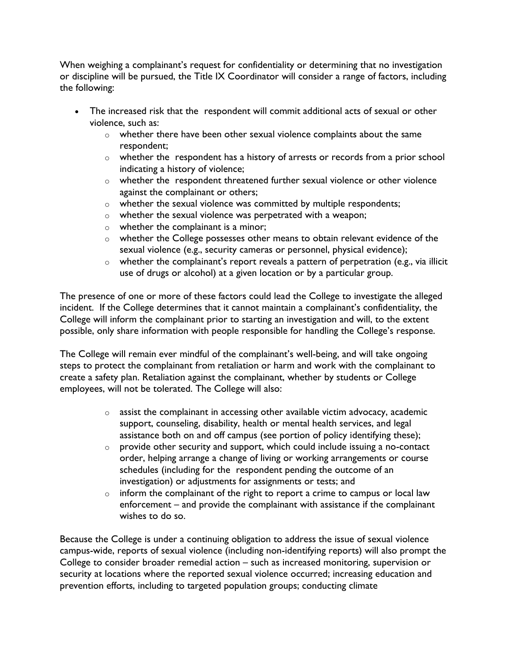When weighing a complainant's request for confidentiality or determining that no investigation or discipline will be pursued, the Title IX Coordinator will consider a range of factors, including the following:

- The increased risk that the respondent will commit additional acts of sexual or other violence, such as:
	- $\circ$  whether there have been other sexual violence complaints about the same respondent;
	- $\circ$  whether the respondent has a history of arrests or records from a prior school indicating a history of violence;
	- o whether the respondent threatened further sexual violence or other violence against the complainant or others;
	- o whether the sexual violence was committed by multiple respondents;
	- o whether the sexual violence was perpetrated with a weapon;
	- o whether the complainant is a minor;
	- o whether the College possesses other means to obtain relevant evidence of the sexual violence (e.g., security cameras or personnel, physical evidence);
	- $\circ$  whether the complainant's report reveals a pattern of perpetration (e.g., via illicit use of drugs or alcohol) at a given location or by a particular group.

The presence of one or more of these factors could lead the College to investigate the alleged incident. If the College determines that it cannot maintain a complainant's confidentiality, the College will inform the complainant prior to starting an investigation and will, to the extent possible, only share information with people responsible for handling the College's response.

The College will remain ever mindful of the complainant's well-being, and will take ongoing steps to protect the complainant from retaliation or harm and work with the complainant to create a safety plan. Retaliation against the complainant, whether by students or College employees, will not be tolerated. The College will also:

- $\circ$  assist the complainant in accessing other available victim advocacy, academic support, counseling, disability, health or mental health services, and legal assistance both on and off campus (see portion of policy identifying these);
- o provide other security and support, which could include issuing a no-contact order, helping arrange a change of living or working arrangements or course schedules (including for the respondent pending the outcome of an investigation) or adjustments for assignments or tests; and
- $\circ$  inform the complainant of the right to report a crime to campus or local law enforcement – and provide the complainant with assistance if the complainant wishes to do so.

Because the College is under a continuing obligation to address the issue of sexual violence campus-wide, reports of sexual violence (including non-identifying reports) will also prompt the College to consider broader remedial action – such as increased monitoring, supervision or security at locations where the reported sexual violence occurred; increasing education and prevention efforts, including to targeted population groups; conducting climate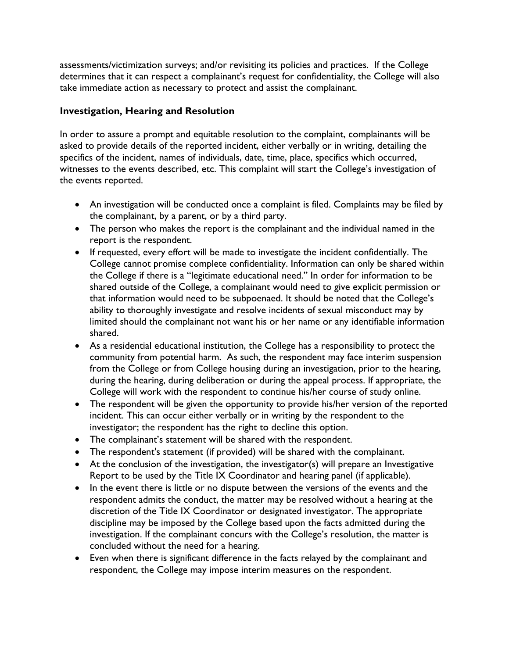assessments/victimization surveys; and/or revisiting its policies and practices. If the College determines that it can respect a complainant's request for confidentiality, the College will also take immediate action as necessary to protect and assist the complainant.

# **Investigation, Hearing and Resolution**

In order to assure a prompt and equitable resolution to the complaint, complainants will be asked to provide details of the reported incident, either verbally or in writing, detailing the specifics of the incident, names of individuals, date, time, place, specifics which occurred, witnesses to the events described, etc. This complaint will start the College's investigation of the events reported.

- An investigation will be conducted once a complaint is filed. Complaints may be filed by the complainant, by a parent, or by a third party.
- The person who makes the report is the complainant and the individual named in the report is the respondent.
- If requested, every effort will be made to investigate the incident confidentially. The College cannot promise complete confidentiality. Information can only be shared within the College if there is a "legitimate educational need." In order for information to be shared outside of the College, a complainant would need to give explicit permission or that information would need to be subpoenaed. It should be noted that the College's ability to thoroughly investigate and resolve incidents of sexual misconduct may by limited should the complainant not want his or her name or any identifiable information shared.
- As a residential educational institution, the College has a responsibility to protect the community from potential harm. As such, the respondent may face interim suspension from the College or from College housing during an investigation, prior to the hearing, during the hearing, during deliberation or during the appeal process. If appropriate, the College will work with the respondent to continue his/her course of study online.
- The respondent will be given the opportunity to provide his/her version of the reported incident. This can occur either verbally or in writing by the respondent to the investigator; the respondent has the right to decline this option.
- The complainant's statement will be shared with the respondent.
- The respondent's statement (if provided) will be shared with the complainant.
- At the conclusion of the investigation, the investigator(s) will prepare an Investigative Report to be used by the Title IX Coordinator and hearing panel (if applicable).
- In the event there is little or no dispute between the versions of the events and the respondent admits the conduct, the matter may be resolved without a hearing at the discretion of the Title IX Coordinator or designated investigator. The appropriate discipline may be imposed by the College based upon the facts admitted during the investigation. If the complainant concurs with the College's resolution, the matter is concluded without the need for a hearing.
- Even when there is significant difference in the facts relayed by the complainant and respondent, the College may impose interim measures on the respondent.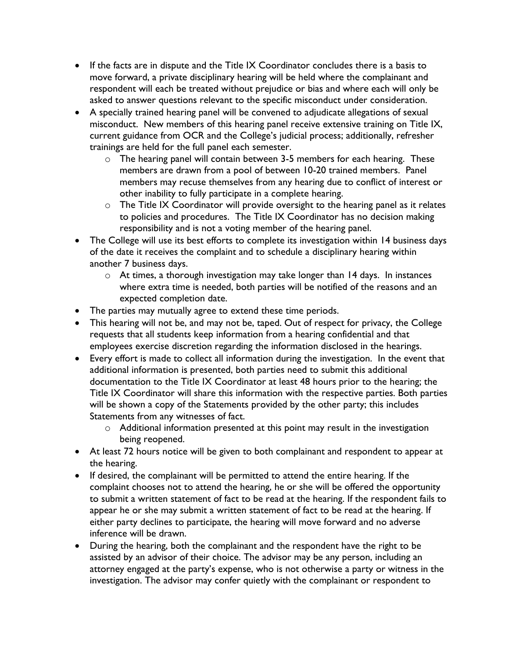- If the facts are in dispute and the Title IX Coordinator concludes there is a basis to move forward, a private disciplinary hearing will be held where the complainant and respondent will each be treated without prejudice or bias and where each will only be asked to answer questions relevant to the specific misconduct under consideration.
- A specially trained hearing panel will be convened to adjudicate allegations of sexual misconduct. New members of this hearing panel receive extensive training on Title IX, current guidance from OCR and the College's judicial process; additionally, refresher trainings are held for the full panel each semester.
	- o The hearing panel will contain between 3-5 members for each hearing. These members are drawn from a pool of between 10-20 trained members. Panel members may recuse themselves from any hearing due to conflict of interest or other inability to fully participate in a complete hearing.
	- $\circ$  The Title IX Coordinator will provide oversight to the hearing panel as it relates to policies and procedures. The Title IX Coordinator has no decision making responsibility and is not a voting member of the hearing panel.
- The College will use its best efforts to complete its investigation within 14 business days of the date it receives the complaint and to schedule a disciplinary hearing within another 7 business days.
	- o At times, a thorough investigation may take longer than 14 days. In instances where extra time is needed, both parties will be notified of the reasons and an expected completion date.
- The parties may mutually agree to extend these time periods.
- This hearing will not be, and may not be, taped. Out of respect for privacy, the College requests that all students keep information from a hearing confidential and that employees exercise discretion regarding the information disclosed in the hearings.
- Every effort is made to collect all information during the investigation. In the event that additional information is presented, both parties need to submit this additional documentation to the Title IX Coordinator at least 48 hours prior to the hearing; the Title IX Coordinator will share this information with the respective parties. Both parties will be shown a copy of the Statements provided by the other party; this includes Statements from any witnesses of fact.
	- o Additional information presented at this point may result in the investigation being reopened.
- At least 72 hours notice will be given to both complainant and respondent to appear at the hearing.
- If desired, the complainant will be permitted to attend the entire hearing. If the complaint chooses not to attend the hearing, he or she will be offered the opportunity to submit a written statement of fact to be read at the hearing. If the respondent fails to appear he or she may submit a written statement of fact to be read at the hearing. If either party declines to participate, the hearing will move forward and no adverse inference will be drawn.
- During the hearing, both the complainant and the respondent have the right to be assisted by an advisor of their choice. The advisor may be any person, including an attorney engaged at the party's expense, who is not otherwise a party or witness in the investigation. The advisor may confer quietly with the complainant or respondent to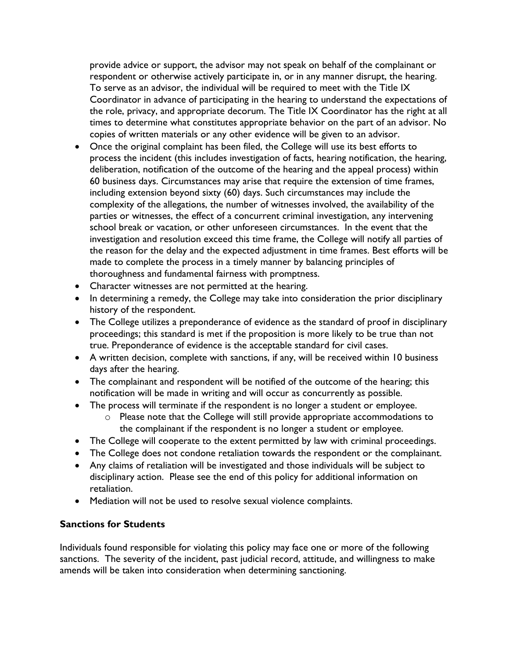provide advice or support, the advisor may not speak on behalf of the complainant or respondent or otherwise actively participate in, or in any manner disrupt, the hearing. To serve as an advisor, the individual will be required to meet with the Title IX Coordinator in advance of participating in the hearing to understand the expectations of the role, privacy, and appropriate decorum. The Title IX Coordinator has the right at all times to determine what constitutes appropriate behavior on the part of an advisor. No copies of written materials or any other evidence will be given to an advisor.

- Once the original complaint has been filed, the College will use its best efforts to process the incident (this includes investigation of facts, hearing notification, the hearing, deliberation, notification of the outcome of the hearing and the appeal process) within 60 business days. Circumstances may arise that require the extension of time frames, including extension beyond sixty (60) days. Such circumstances may include the complexity of the allegations, the number of witnesses involved, the availability of the parties or witnesses, the effect of a concurrent criminal investigation, any intervening school break or vacation, or other unforeseen circumstances. In the event that the investigation and resolution exceed this time frame, the College will notify all parties of the reason for the delay and the expected adjustment in time frames. Best efforts will be made to complete the process in a timely manner by balancing principles of thoroughness and fundamental fairness with promptness.
- Character witnesses are not permitted at the hearing.
- In determining a remedy, the College may take into consideration the prior disciplinary history of the respondent.
- The College utilizes a preponderance of evidence as the standard of proof in disciplinary proceedings; this standard is met if the proposition is more likely to be true than not true. Preponderance of evidence is the acceptable standard for civil cases.
- A written decision, complete with sanctions, if any, will be received within 10 business days after the hearing.
- The complainant and respondent will be notified of the outcome of the hearing; this notification will be made in writing and will occur as concurrently as possible.
- The process will terminate if the respondent is no longer a student or employee.
	- o Please note that the College will still provide appropriate accommodations to the complainant if the respondent is no longer a student or employee.
- The College will cooperate to the extent permitted by law with criminal proceedings.
- The College does not condone retaliation towards the respondent or the complainant.
- Any claims of retaliation will be investigated and those individuals will be subject to disciplinary action. Please see the end of this policy for additional information on retaliation.
- Mediation will not be used to resolve sexual violence complaints.

## **Sanctions for Students**

Individuals found responsible for violating this policy may face one or more of the following sanctions. The severity of the incident, past judicial record, attitude, and willingness to make amends will be taken into consideration when determining sanctioning.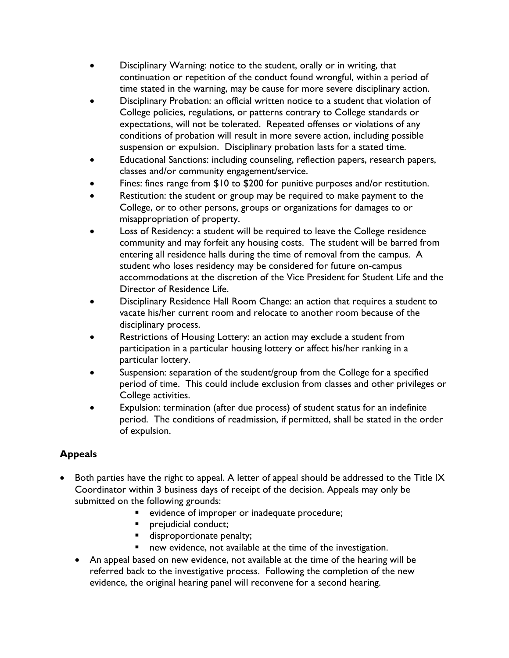- Disciplinary Warning: notice to the student, orally or in writing, that continuation or repetition of the conduct found wrongful, within a period of time stated in the warning, may be cause for more severe disciplinary action.
- Disciplinary Probation: an official written notice to a student that violation of College policies, regulations, or patterns contrary to College standards or expectations, will not be tolerated. Repeated offenses or violations of any conditions of probation will result in more severe action, including possible suspension or expulsion. Disciplinary probation lasts for a stated time.
- Educational Sanctions: including counseling, reflection papers, research papers, classes and/or community engagement/service.
- Fines: fines range from \$10 to \$200 for punitive purposes and/or restitution.
- Restitution: the student or group may be required to make payment to the College, or to other persons, groups or organizations for damages to or misappropriation of property.
- Loss of Residency: a student will be required to leave the College residence community and may forfeit any housing costs. The student will be barred from entering all residence halls during the time of removal from the campus. A student who loses residency may be considered for future on-campus accommodations at the discretion of the Vice President for Student Life and the Director of Residence Life.
- Disciplinary Residence Hall Room Change: an action that requires a student to vacate his/her current room and relocate to another room because of the disciplinary process.
- Restrictions of Housing Lottery: an action may exclude a student from participation in a particular housing lottery or affect his/her ranking in a particular lottery.
- Suspension: separation of the student/group from the College for a specified period of time. This could include exclusion from classes and other privileges or College activities.
- Expulsion: termination (after due process) of student status for an indefinite period. The conditions of readmission, if permitted, shall be stated in the order of expulsion.

# **Appeals**

- $\bullet$  Both parties have the right to appeal. A letter of appeal should be addressed to the Title IX Coordinator within 3 business days of receipt of the decision. Appeals may only be submitted on the following grounds:
	- evidence of improper or inadequate procedure;
	- **Permit-** prejudicial conduct;
	- **disproportionate penalty;**
	- new evidence, not available at the time of the investigation.
	- An appeal based on new evidence, not available at the time of the hearing will be referred back to the investigative process. Following the completion of the new evidence, the original hearing panel will reconvene for a second hearing.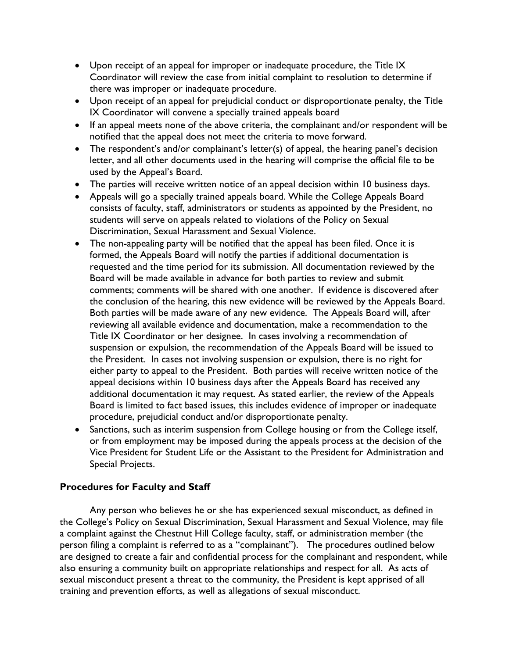- Upon receipt of an appeal for improper or inadequate procedure, the Title IX Coordinator will review the case from initial complaint to resolution to determine if there was improper or inadequate procedure.
- Upon receipt of an appeal for prejudicial conduct or disproportionate penalty, the Title IX Coordinator will convene a specially trained appeals board
- If an appeal meets none of the above criteria, the complainant and/or respondent will be notified that the appeal does not meet the criteria to move forward.
- The respondent's and/or complainant's letter(s) of appeal, the hearing panel's decision letter, and all other documents used in the hearing will comprise the official file to be used by the Appeal's Board.
- The parties will receive written notice of an appeal decision within 10 business days.
- Appeals will go a specially trained appeals board. While the College Appeals Board consists of faculty, staff, administrators or students as appointed by the President, no students will serve on appeals related to violations of the Policy on Sexual Discrimination, Sexual Harassment and Sexual Violence.
- The non-appealing party will be notified that the appeal has been filed. Once it is formed, the Appeals Board will notify the parties if additional documentation is requested and the time period for its submission. All documentation reviewed by the Board will be made available in advance for both parties to review and submit comments; comments will be shared with one another. If evidence is discovered after the conclusion of the hearing, this new evidence will be reviewed by the Appeals Board. Both parties will be made aware of any new evidence. The Appeals Board will, after reviewing all available evidence and documentation, make a recommendation to the Title IX Coordinator or her designee. In cases involving a recommendation of suspension or expulsion, the recommendation of the Appeals Board will be issued to the President. In cases not involving suspension or expulsion, there is no right for either party to appeal to the President. Both parties will receive written notice of the appeal decisions within 10 business days after the Appeals Board has received any additional documentation it may request. As stated earlier, the review of the Appeals Board is limited to fact based issues, this includes evidence of improper or inadequate procedure, prejudicial conduct and/or disproportionate penalty.
- Sanctions, such as interim suspension from College housing or from the College itself, or from employment may be imposed during the appeals process at the decision of the Vice President for Student Life or the Assistant to the President for Administration and Special Projects.

## **Procedures for Faculty and Staff**

Any person who believes he or she has experienced sexual misconduct, as defined in the College's Policy on Sexual Discrimination, Sexual Harassment and Sexual Violence, may file a complaint against the Chestnut Hill College faculty, staff, or administration member (the person filing a complaint is referred to as a "complainant"). The procedures outlined below are designed to create a fair and confidential process for the complainant and respondent, while also ensuring a community built on appropriate relationships and respect for all. As acts of sexual misconduct present a threat to the community, the President is kept apprised of all training and prevention efforts, as well as allegations of sexual misconduct.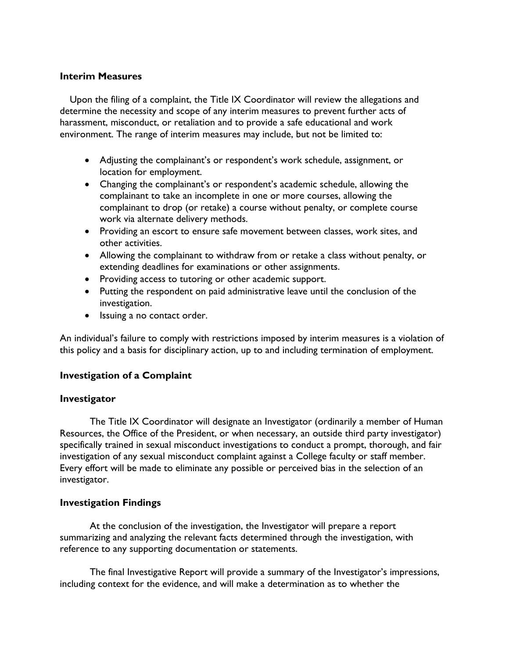#### **Interim Measures**

Upon the filing of a complaint, the Title IX Coordinator will review the allegations and determine the necessity and scope of any interim measures to prevent further acts of harassment, misconduct, or retaliation and to provide a safe educational and work environment. The range of interim measures may include, but not be limited to:

- Adjusting the complainant's or respondent's work schedule, assignment, or location for employment.
- Changing the complainant's or respondent's academic schedule, allowing the complainant to take an incomplete in one or more courses, allowing the complainant to drop (or retake) a course without penalty, or complete course work via alternate delivery methods.
- Providing an escort to ensure safe movement between classes, work sites, and other activities.
- Allowing the complainant to withdraw from or retake a class without penalty, or extending deadlines for examinations or other assignments.
- Providing access to tutoring or other academic support.
- Putting the respondent on paid administrative leave until the conclusion of the investigation.
- Issuing a no contact order.

An individual's failure to comply with restrictions imposed by interim measures is a violation of this policy and a basis for disciplinary action, up to and including termination of employment.

#### **Investigation of a Complaint**

#### **Investigator**

The Title IX Coordinator will designate an Investigator (ordinarily a member of Human Resources, the Office of the President, or when necessary, an outside third party investigator) specifically trained in sexual misconduct investigations to conduct a prompt, thorough, and fair investigation of any sexual misconduct complaint against a College faculty or staff member. Every effort will be made to eliminate any possible or perceived bias in the selection of an investigator.

#### **Investigation Findings**

At the conclusion of the investigation, the Investigator will prepare a report summarizing and analyzing the relevant facts determined through the investigation, with reference to any supporting documentation or statements.

The final Investigative Report will provide a summary of the Investigator's impressions, including context for the evidence, and will make a determination as to whether the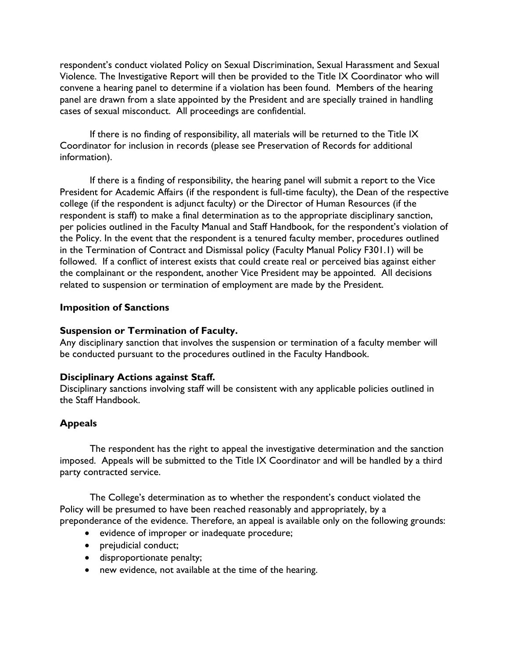respondent's conduct violated Policy on Sexual Discrimination, Sexual Harassment and Sexual Violence. The Investigative Report will then be provided to the Title IX Coordinator who will convene a hearing panel to determine if a violation has been found. Members of the hearing panel are drawn from a slate appointed by the President and are specially trained in handling cases of sexual misconduct. All proceedings are confidential.

If there is no finding of responsibility, all materials will be returned to the Title IX Coordinator for inclusion in records (please see Preservation of Records for additional information).

If there is a finding of responsibility, the hearing panel will submit a report to the Vice President for Academic Affairs (if the respondent is full-time faculty), the Dean of the respective college (if the respondent is adjunct faculty) or the Director of Human Resources (if the respondent is staff) to make a final determination as to the appropriate disciplinary sanction, per policies outlined in the Faculty Manual and Staff Handbook, for the respondent's violation of the Policy. In the event that the respondent is a tenured faculty member, procedures outlined in the Termination of Contract and Dismissal policy (Faculty Manual Policy F301.1) will be followed. If a conflict of interest exists that could create real or perceived bias against either the complainant or the respondent, another Vice President may be appointed. All decisions related to suspension or termination of employment are made by the President.

# **Imposition of Sanctions**

## **Suspension or Termination of Faculty.**

Any disciplinary sanction that involves the suspension or termination of a faculty member will be conducted pursuant to the procedures outlined in the Faculty Handbook.

# **Disciplinary Actions against Staff.**

Disciplinary sanctions involving staff will be consistent with any applicable policies outlined in the Staff Handbook.

# **Appeals**

The respondent has the right to appeal the investigative determination and the sanction imposed. Appeals will be submitted to the Title IX Coordinator and will be handled by a third party contracted service.

The College's determination as to whether the respondent's conduct violated the Policy will be presumed to have been reached reasonably and appropriately, by a preponderance of the evidence. Therefore, an appeal is available only on the following grounds:

- evidence of improper or inadequate procedure;
- prejudicial conduct;
- disproportionate penalty;
- new evidence, not available at the time of the hearing.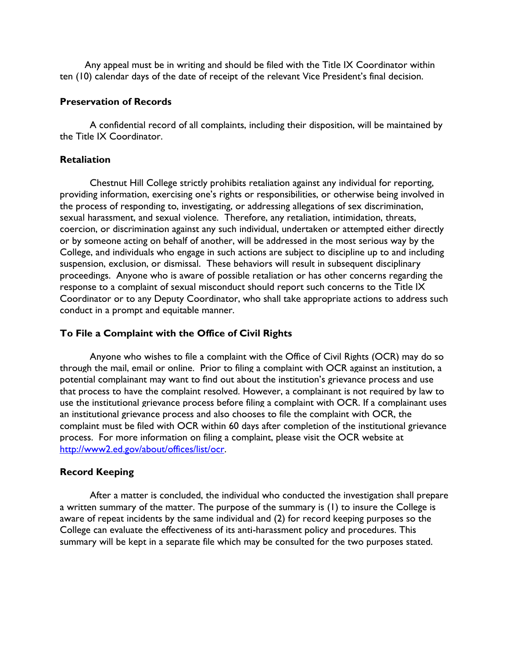Any appeal must be in writing and should be filed with the Title IX Coordinator within ten (10) calendar days of the date of receipt of the relevant Vice President's final decision.

#### **Preservation of Records**

A confidential record of all complaints, including their disposition, will be maintained by the Title IX Coordinator.

#### **Retaliation**

Chestnut Hill College strictly prohibits retaliation against any individual for reporting, providing information, exercising one's rights or responsibilities, or otherwise being involved in the process of responding to, investigating, or addressing allegations of sex discrimination, sexual harassment, and sexual violence. Therefore, any retaliation, intimidation, threats, coercion, or discrimination against any such individual, undertaken or attempted either directly or by someone acting on behalf of another, will be addressed in the most serious way by the College, and individuals who engage in such actions are subject to discipline up to and including suspension, exclusion, or dismissal. These behaviors will result in subsequent disciplinary proceedings. Anyone who is aware of possible retaliation or has other concerns regarding the response to a complaint of sexual misconduct should report such concerns to the Title IX Coordinator or to any Deputy Coordinator, who shall take appropriate actions to address such conduct in a prompt and equitable manner.

#### **To File a Complaint with the Office of Civil Rights**

Anyone who wishes to file a complaint with the Office of Civil Rights (OCR) may do so through the mail, email or online. Prior to filing a complaint with OCR against an institution, a potential complainant may want to find out about the institution's grievance process and use that process to have the complaint resolved. However, a complainant is not required by law to use the institutional grievance process before filing a complaint with OCR. If a complainant uses an institutional grievance process and also chooses to file the complaint with OCR, the complaint must be filed with OCR within 60 days after completion of the institutional grievance process. For more information on filing a complaint, please visit the OCR website at [http://www2.ed.gov/about/offices/list/ocr.](http://www2.ed.gov/about/offices/list/ocr)

#### **Record Keeping**

After a matter is concluded, the individual who conducted the investigation shall prepare a written summary of the matter. The purpose of the summary is (1) to insure the College is aware of repeat incidents by the same individual and (2) for record keeping purposes so the College can evaluate the effectiveness of its anti-harassment policy and procedures. This summary will be kept in a separate file which may be consulted for the two purposes stated.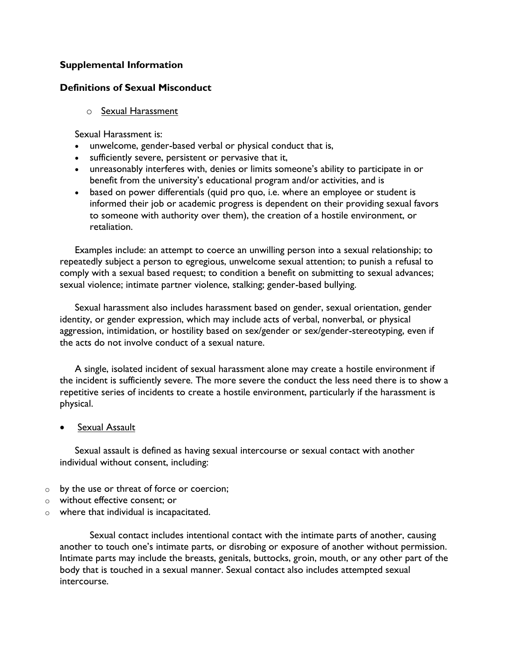## **Supplemental Information**

### **Definitions of Sexual Misconduct**

#### o Sexual Harassment

Sexual Harassment is:

- unwelcome, gender-based verbal or physical conduct that is,
- sufficiently severe, persistent or pervasive that it,
- unreasonably interferes with, denies or limits someone's ability to participate in or benefit from the university's educational program and/or activities, and is
- based on power differentials (quid pro quo, i.e. where an employee or student is informed their job or academic progress is dependent on their providing sexual favors to someone with authority over them), the creation of a hostile environment, or retaliation.

Examples include: an attempt to coerce an unwilling person into a sexual relationship; to repeatedly subject a person to egregious, unwelcome sexual attention; to punish a refusal to comply with a sexual based request; to condition a benefit on submitting to sexual advances; sexual violence; intimate partner violence, stalking; gender-based bullying.

Sexual harassment also includes harassment based on gender, sexual orientation, gender identity, or gender expression, which may include acts of verbal, nonverbal, or physical aggression, intimidation, or hostility based on sex/gender or sex/gender-stereotyping, even if the acts do not involve conduct of a sexual nature.

A single, isolated incident of sexual harassment alone may create a hostile environment if the incident is sufficiently severe. The more severe the conduct the less need there is to show a repetitive series of incidents to create a hostile environment, particularly if the harassment is physical.

Sexual Assault

Sexual assault is defined as having sexual intercourse or sexual contact with another individual without consent, including:

- o by the use or threat of force or coercion;
- o without effective consent; or
- o where that individual is incapacitated.

Sexual contact includes intentional contact with the intimate parts of another, causing another to touch one's intimate parts, or disrobing or exposure of another without permission. Intimate parts may include the breasts, genitals, buttocks, groin, mouth, or any other part of the body that is touched in a sexual manner. Sexual contact also includes attempted sexual intercourse.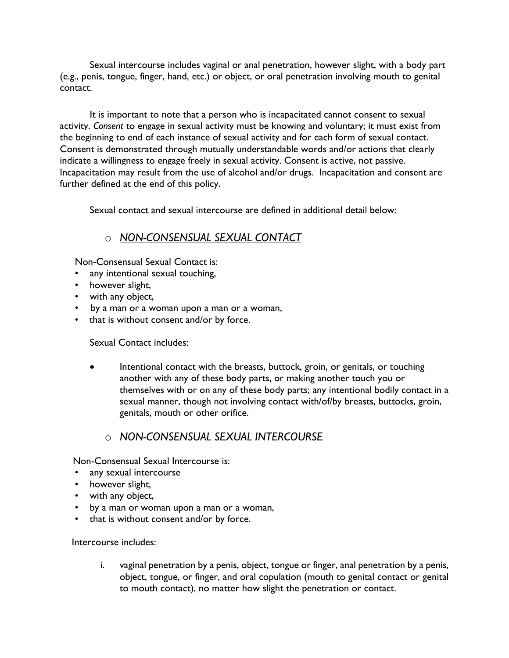Sexual intercourse includes vaginal or anal penetration, however slight, with a body part (e.g., penis, tongue, finger, hand, etc.) or object, or oral penetration involving mouth to genital contact.

It is important to note that a person who is incapacitated cannot consent to sexual activity. *Consent* to engage in sexual activity must be knowing and voluntary; it must exist from the beginning to end of each instance of sexual activity and for each form of sexual contact. Consent is demonstrated through mutually understandable words and/or actions that clearly indicate a willingness to engage freely in sexual activity. Consent is active, not passive. Incapacitation may result from the use of alcohol and/or drugs. Incapacitation and consent are further defined at the end of this policy.

Sexual contact and sexual intercourse are defined in additional detail below:

# o *NON-CONSENSUAL SEXUAL CONTACT*

Non-Consensual Sexual Contact is:

- any intentional sexual touching,
- however slight,
- with any object,
- by a man or a woman upon a man or a woman,
- that is without consent and/or by force.

Sexual Contact includes:

 Intentional contact with the breasts, buttock, groin, or genitals, or touching another with any of these body parts, or making another touch you or themselves with or on any of these body parts; any intentional bodily contact in a sexual manner, though not involving contact with/of/by breasts, buttocks, groin, genitals, mouth or other orifice.

# o *NON-CONSENSUAL SEXUAL INTERCOURSE*

Non-Consensual Sexual Intercourse is:

- any sexual intercourse
- however slight,
- with any object,
- by a man or woman upon a man or a woman,
- that is without consent and/or by force.

Intercourse includes:

i. vaginal penetration by a penis, object, tongue or finger, anal penetration by a penis, object, tongue, or finger, and oral copulation (mouth to genital contact or genital to mouth contact), no matter how slight the penetration or contact.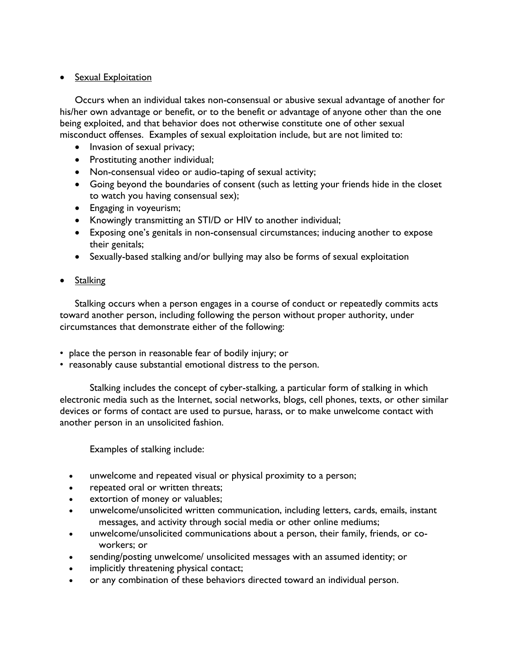## • Sexual Exploitation

Occurs when an individual takes non-consensual or abusive sexual advantage of another for his/her own advantage or benefit, or to the benefit or advantage of anyone other than the one being exploited, and that behavior does not otherwise constitute one of other sexual misconduct offenses. Examples of sexual exploitation include, but are not limited to:

- Invasion of sexual privacy;
- Prostituting another individual;
- Non-consensual video or audio-taping of sexual activity;
- Going beyond the boundaries of consent (such as letting your friends hide in the closet to watch you having consensual sex);
- Engaging in voyeurism;
- Knowingly transmitting an STI/D or HIV to another individual;
- Exposing one's genitals in non-consensual circumstances; inducing another to expose their genitals;
- Sexually-based stalking and/or bullying may also be forms of sexual exploitation
- Stalking

Stalking occurs when a person engages in a course of conduct or repeatedly commits acts toward another person, including following the person without proper authority, under circumstances that demonstrate either of the following:

- place the person in reasonable fear of bodily injury; or
- reasonably cause substantial emotional distress to the person.

Stalking includes the concept of cyber-stalking, a particular form of stalking in which electronic media such as the Internet, social networks, blogs, cell phones, texts, or other similar devices or forms of contact are used to pursue, harass, or to make unwelcome contact with another person in an unsolicited fashion.

Examples of stalking include:

- unwelcome and repeated visual or physical proximity to a person;
- repeated oral or written threats;
- extortion of money or valuables;
- unwelcome/unsolicited written communication, including letters, cards, emails, instant messages, and activity through social media or other online mediums;
- unwelcome/unsolicited communications about a person, their family, friends, or coworkers; or
- sending/posting unwelcome/ unsolicited messages with an assumed identity; or
- implicitly threatening physical contact;
- or any combination of these behaviors directed toward an individual person.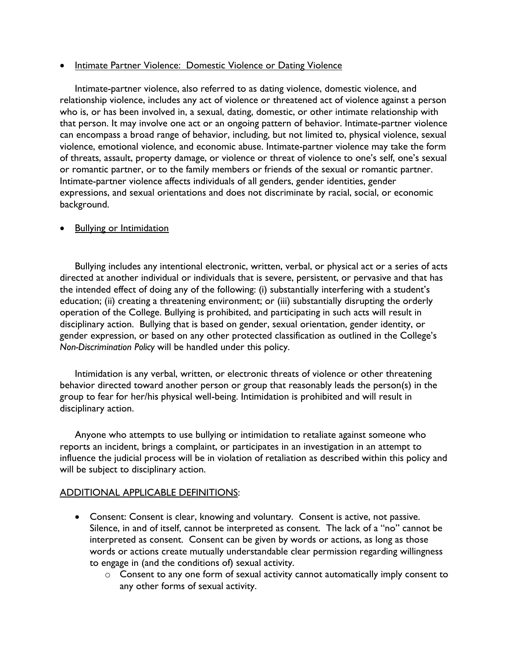#### • Intimate Partner Violence: Domestic Violence or Dating Violence

Intimate-partner violence, also referred to as dating violence, domestic violence, and relationship violence, includes any act of violence or threatened act of violence against a person who is, or has been involved in, a sexual, dating, domestic, or other intimate relationship with that person. It may involve one act or an ongoing pattern of behavior. Intimate-partner violence can encompass a broad range of behavior, including, but not limited to, physical violence, sexual violence, emotional violence, and economic abuse. Intimate-partner violence may take the form of threats, assault, property damage, or violence or threat of violence to one's self, one's sexual or romantic partner, or to the family members or friends of the sexual or romantic partner. Intimate-partner violence affects individuals of all genders, gender identities, gender expressions, and sexual orientations and does not discriminate by racial, social, or economic background.

#### • Bullying or Intimidation

Bullying includes any intentional electronic, written, verbal, or physical act or a series of acts directed at another individual or individuals that is severe, persistent, or pervasive and that has the intended effect of doing any of the following: (i) substantially interfering with a student's education; (ii) creating a threatening environment; or (iii) substantially disrupting the orderly operation of the College. Bullying is prohibited, and participating in such acts will result in disciplinary action. Bullying that is based on gender, sexual orientation, gender identity, or gender expression, or based on any other protected classification as outlined in the College's *Non-Discrimination Policy* will be handled under this policy.

Intimidation is any verbal, written, or electronic threats of violence or other threatening behavior directed toward another person or group that reasonably leads the person(s) in the group to fear for her/his physical well-being. Intimidation is prohibited and will result in disciplinary action.

Anyone who attempts to use bullying or intimidation to retaliate against someone who reports an incident, brings a complaint, or participates in an investigation in an attempt to influence the judicial process will be in violation of retaliation as described within this policy and will be subject to disciplinary action.

#### ADDITIONAL APPLICABLE DEFINITIONS:

- Consent: Consent is clear, knowing and voluntary. Consent is active, not passive. Silence, in and of itself, cannot be interpreted as consent. The lack of a "no" cannot be interpreted as consent. Consent can be given by words or actions, as long as those words or actions create mutually understandable clear permission regarding willingness to engage in (and the conditions of) sexual activity.
	- o Consent to any one form of sexual activity cannot automatically imply consent to any other forms of sexual activity.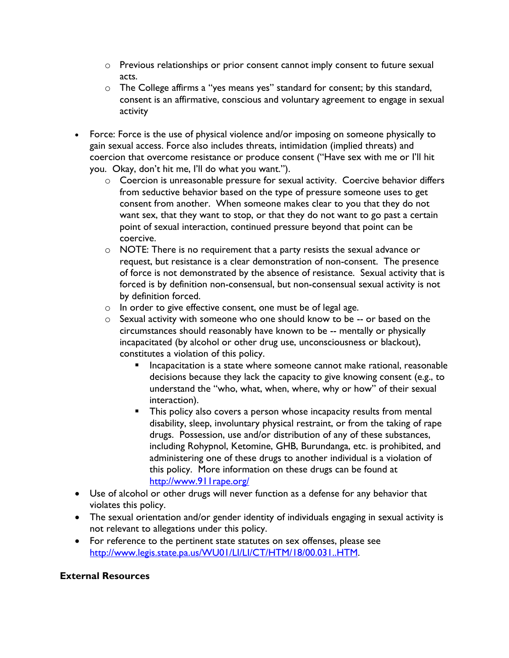- o Previous relationships or prior consent cannot imply consent to future sexual acts.
- o The College affirms a "yes means yes" standard for consent; by this standard, consent is an affirmative, conscious and voluntary agreement to engage in sexual activity
- Force: Force is the use of physical violence and/or imposing on someone physically to gain sexual access. Force also includes threats, intimidation (implied threats) and coercion that overcome resistance or produce consent ("Have sex with me or I'll hit you. Okay, don't hit me, I'll do what you want.").
	- o Coercion is unreasonable pressure for sexual activity. Coercive behavior differs from seductive behavior based on the type of pressure someone uses to get consent from another. When someone makes clear to you that they do not want sex, that they want to stop, or that they do not want to go past a certain point of sexual interaction, continued pressure beyond that point can be coercive.
	- $\circ$  NOTE: There is no requirement that a party resists the sexual advance or request, but resistance is a clear demonstration of non-consent. The presence of force is not demonstrated by the absence of resistance. Sexual activity that is forced is by definition non-consensual, but non-consensual sexual activity is not by definition forced.
	- o In order to give effective consent, one must be of legal age.
	- o Sexual activity with someone who one should know to be -- or based on the circumstances should reasonably have known to be -- mentally or physically incapacitated (by alcohol or other drug use, unconsciousness or blackout), constitutes a violation of this policy.
		- **Incapacitation is a state where someone cannot make rational, reasonable** decisions because they lack the capacity to give knowing consent (e.g., to understand the "who, what, when, where, why or how" of their sexual interaction).
		- This policy also covers a person whose incapacity results from mental disability, sleep, involuntary physical restraint, or from the taking of rape drugs. Possession, use and/or distribution of any of these substances, including Rohypnol, Ketomine, GHB, Burundanga, etc. is prohibited, and administering one of these drugs to another individual is a violation of this policy. More information on these drugs can be found at <http://www.911rape.org/>
- Use of alcohol or other drugs will never function as a defense for any behavior that violates this policy.
- The sexual orientation and/or gender identity of individuals engaging in sexual activity is not relevant to allegations under this policy.
- For reference to the pertinent state statutes on sex offenses, please see [http://www.legis.state.pa.us/WU01/LI/LI/CT/HTM/18/00.031..HTM.](http://www.legis.state.pa.us/WU01/LI/LI/CT/HTM/18/00.031..HTM)

## **External Resources**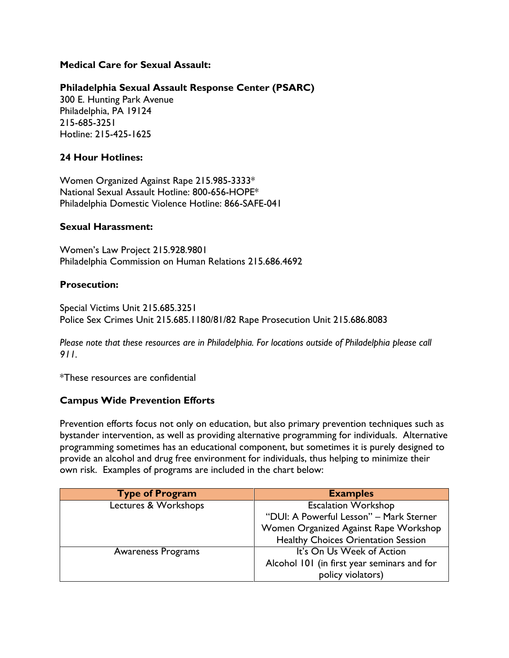# **Medical Care for Sexual Assault:**

### **Philadelphia Sexual Assault Response Center (PSARC)**

300 E. Hunting Park Avenue Philadelphia, PA 19124 215-685-3251 Hotline: 215-425-1625

## **24 Hour Hotlines:**

Women Organized Against Rape 215.985-3333\* National Sexual Assault Hotline: 800-656-HOPE\* Philadelphia Domestic Violence Hotline: 866-SAFE-041

#### **Sexual Harassment:**

Women's Law Project 215.928.9801 Philadelphia Commission on Human Relations 215.686.4692

#### **Prosecution:**

Special Victims Unit 215.685.3251 Police Sex Crimes Unit 215.685.1180/81/82 Rape Prosecution Unit 215.686.8083

*Please note that these resources are in Philadelphia. For locations outside of Philadelphia please call 911.* 

\*These resources are confidential

## **Campus Wide Prevention Efforts**

Prevention efforts focus not only on education, but also primary prevention techniques such as bystander intervention, as well as providing alternative programming for individuals. Alternative programming sometimes has an educational component, but sometimes it is purely designed to provide an alcohol and drug free environment for individuals, thus helping to minimize their own risk. Examples of programs are included in the chart below:

| <b>Type of Program</b>    | <b>Examples</b>                             |
|---------------------------|---------------------------------------------|
| Lectures & Workshops      | <b>Escalation Workshop</b>                  |
|                           | "DUI: A Powerful Lesson" - Mark Sterner     |
|                           | Women Organized Against Rape Workshop       |
|                           | <b>Healthy Choices Orientation Session</b>  |
| <b>Awareness Programs</b> | It's On Us Week of Action                   |
|                           | Alcohol 101 (in first year seminars and for |
|                           | policy violators)                           |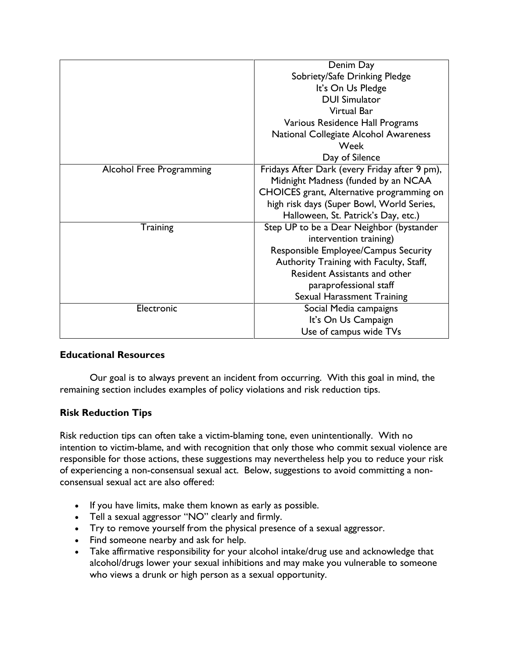|                                 | Denim Day                                     |
|---------------------------------|-----------------------------------------------|
|                                 | Sobriety/Safe Drinking Pledge                 |
|                                 | It's On Us Pledge                             |
|                                 | <b>DUI Simulator</b>                          |
|                                 | Virtual Bar                                   |
|                                 | Various Residence Hall Programs               |
|                                 | National Collegiate Alcohol Awareness         |
|                                 | Week                                          |
|                                 | Day of Silence                                |
| <b>Alcohol Free Programming</b> | Fridays After Dark (every Friday after 9 pm), |
|                                 | Midnight Madness (funded by an NCAA           |
|                                 | CHOICES grant, Alternative programming on     |
|                                 | high risk days (Super Bowl, World Series,     |
|                                 | Halloween, St. Patrick's Day, etc.)           |
| Training                        | Step UP to be a Dear Neighbor (bystander      |
|                                 | intervention training)                        |
|                                 | Responsible Employee/Campus Security          |
|                                 | Authority Training with Faculty, Staff,       |
|                                 | <b>Resident Assistants and other</b>          |
|                                 | paraprofessional staff                        |
|                                 | Sexual Harassment Training                    |
| Electronic                      | Social Media campaigns                        |
|                                 | It's On Us Campaign                           |
|                                 | Use of campus wide TVs                        |

## **Educational Resources**

Our goal is to always prevent an incident from occurring. With this goal in mind, the remaining section includes examples of policy violations and risk reduction tips.

## **Risk Reduction Tips**

Risk reduction tips can often take a victim-blaming tone, even unintentionally. With no intention to victim-blame, and with recognition that only those who commit sexual violence are responsible for those actions, these suggestions may nevertheless help you to reduce your risk of experiencing a non-consensual sexual act. Below, suggestions to avoid committing a nonconsensual sexual act are also offered:

- If you have limits, make them known as early as possible.
- Tell a sexual aggressor "NO" clearly and firmly.
- Try to remove yourself from the physical presence of a sexual aggressor.
- Find someone nearby and ask for help.
- Take affirmative responsibility for your alcohol intake/drug use and acknowledge that alcohol/drugs lower your sexual inhibitions and may make you vulnerable to someone who views a drunk or high person as a sexual opportunity.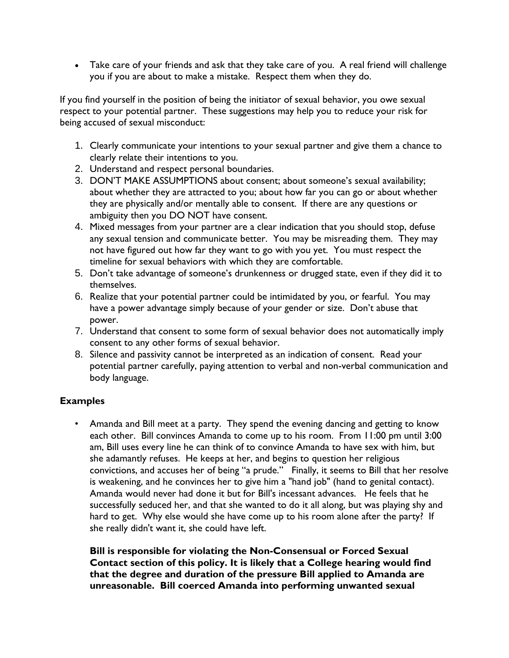• Take care of your friends and ask that they take care of you. A real friend will challenge you if you are about to make a mistake. Respect them when they do.

If you find yourself in the position of being the initiator of sexual behavior, you owe sexual respect to your potential partner. These suggestions may help you to reduce your risk for being accused of sexual misconduct:

- 1. Clearly communicate your intentions to your sexual partner and give them a chance to clearly relate their intentions to you.
- 2. Understand and respect personal boundaries.
- 3. DON'T MAKE ASSUMPTIONS about consent; about someone's sexual availability; about whether they are attracted to you; about how far you can go or about whether they are physically and/or mentally able to consent. If there are any questions or ambiguity then you DO NOT have consent.
- 4. Mixed messages from your partner are a clear indication that you should stop, defuse any sexual tension and communicate better. You may be misreading them. They may not have figured out how far they want to go with you yet. You must respect the timeline for sexual behaviors with which they are comfortable.
- 5. Don't take advantage of someone's drunkenness or drugged state, even if they did it to themselves.
- 6. Realize that your potential partner could be intimidated by you, or fearful. You may have a power advantage simply because of your gender or size. Don't abuse that power.
- 7. Understand that consent to some form of sexual behavior does not automatically imply consent to any other forms of sexual behavior.
- 8. Silence and passivity cannot be interpreted as an indication of consent. Read your potential partner carefully, paying attention to verbal and non-verbal communication and body language.

# **Examples**

• Amanda and Bill meet at a party. They spend the evening dancing and getting to know each other. Bill convinces Amanda to come up to his room. From 11:00 pm until 3:00 am, Bill uses every line he can think of to convince Amanda to have sex with him, but she adamantly refuses. He keeps at her, and begins to question her religious convictions, and accuses her of being "a prude." Finally, it seems to Bill that her resolve is weakening, and he convinces her to give him a "hand job" (hand to genital contact). Amanda would never had done it but for Bill's incessant advances. He feels that he successfully seduced her, and that she wanted to do it all along, but was playing shy and hard to get. Why else would she have come up to his room alone after the party? If she really didn't want it, she could have left.

**Bill is responsible for violating the Non-Consensual or Forced Sexual Contact section of this policy. It is likely that a College hearing would find that the degree and duration of the pressure Bill applied to Amanda are unreasonable. Bill coerced Amanda into performing unwanted sexual**